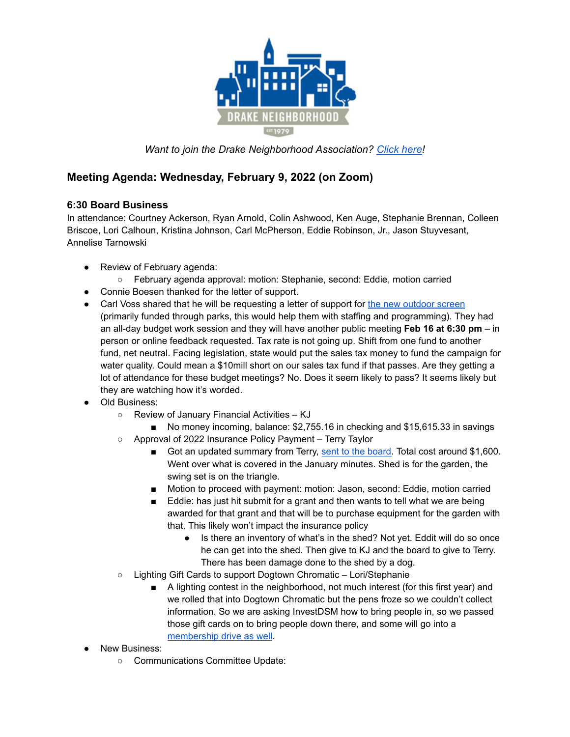

*Want to join the Drake Neighborhood Association? [Click](https://dna.wildapricot.org/) here!*

## **Meeting Agenda: Wednesday, February 9, 2022 (on Zoom)**

## **6:30 Board Business**

In attendance: Courtney Ackerson, Ryan Arnold, Colin Ashwood, Ken Auge, Stephanie Brennan, Colleen Briscoe, Lori Calhoun, Kristina Johnson, Carl McPherson, Eddie Robinson, Jr., Jason Stuyvesant, Annelise Tarnowski

- Review of February agenda:
	- February agenda approval: motion: Stephanie, second: Eddie, motion carried
- Connie Boesen thanked for the letter of support.
- Carl Voss shared that he will be requesting a letter of support for the new [outdoor](https://drive.google.com/file/d/1J-1y6CkODmXZEW__BYV-aX8EPqHKrWpP/view?usp=sharing) screen (primarily funded through parks, this would help them with staffing and programming). They had an all-day budget work session and they will have another public meeting **Feb 16 at 6:30 pm** – in person or online feedback requested. Tax rate is not going up. Shift from one fund to another fund, net neutral. Facing legislation, state would put the sales tax money to fund the campaign for water quality. Could mean a \$10mill short on our sales tax fund if that passes. Are they getting a lot of attendance for these budget meetings? No. Does it seem likely to pass? It seems likely but they are watching how it's worded.
- Old Business:
	- Review of January Financial Activities KJ
	- No money incoming, balance: \$2,755.16 in checking and \$15,615.33 in savings ○ Approval of 2022 Insurance Policy Payment – Terry Taylor
		- Got an updated summary from Terry, sent to the [board.](https://docs.google.com/document/d/1kykuBEoNeKbmRU-Ec1nsz0xZ6GsR7FVU/edit?usp=sharing&ouid=112987341641714962910&rtpof=true&sd=true) Total cost around \$1,600. Went over what is covered in the January minutes. Shed is for the garden, the swing set is on the triangle.
		- Motion to proceed with payment: motion: Jason, second: Eddie, motion carried
		- Eddie: has just hit submit for a grant and then wants to tell what we are being awarded for that grant and that will be to purchase equipment for the garden with that. This likely won't impact the insurance policy
			- Is there an inventory of what's in the shed? Not yet. Eddit will do so once he can get into the shed. Then give to KJ and the board to give to Terry. There has been damage done to the shed by a dog.
	- Lighting Gift Cards to support Dogtown Chromatic Lori/Stephanie
		- A lighting contest in the neighborhood, not much interest (for this first year) and we rolled that into Dogtown Chromatic but the pens froze so we couldn't collect information. So we are asking InvestDSM how to bring people in, so we passed those gift cards on to bring people down there, and some will go into a [membership](https://www.facebook.com/DrakeNeighborhoodAssociation/posts/10159843342605907) drive as well.
- **New Business:** 
	- Communications Committee Update: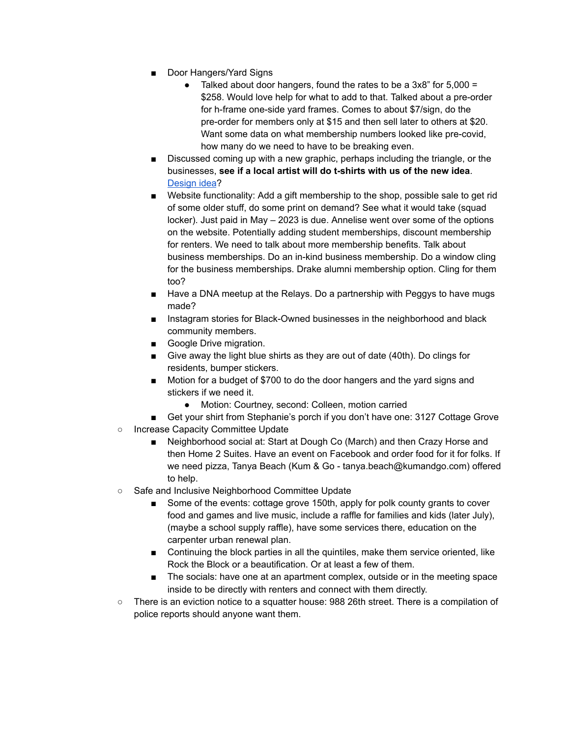- Door Hangers/Yard Signs
	- Talked about door hangers, found the rates to be a  $3x8$ " for  $5,000 =$ \$258. Would love help for what to add to that. Talked about a pre-order for h-frame one-side yard frames. Comes to about \$7/sign, do the pre-order for members only at \$15 and then sell later to others at \$20. Want some data on what membership numbers looked like pre-covid, how many do we need to have to be breaking even.
- Discussed coming up with a new graphic, perhaps including the triangle, or the businesses, **see if a local artist will do t-shirts with us of the new idea**. [Design](https://drive.google.com/file/d/1ZPYo-bMBzzQJ2kQTA6qB5_7oDbmgAkjo/view?usp=sharing) idea?
- Website functionality: Add a gift membership to the shop, possible sale to get rid of some older stuff, do some print on demand? See what it would take (squad locker). Just paid in May – 2023 is due. Annelise went over some of the options on the website. Potentially adding student memberships, discount membership for renters. We need to talk about more membership benefits. Talk about business memberships. Do an in-kind business membership. Do a window cling for the business memberships. Drake alumni membership option. Cling for them too?
- Have a DNA meetup at the Relays. Do a partnership with Peggys to have mugs made?
- Instagram stories for Black-Owned businesses in the neighborhood and black community members.
- Google Drive migration.
- Give away the light blue shirts as they are out of date (40th). Do clings for residents, bumper stickers.
- Motion for a budget of \$700 to do the door hangers and the yard signs and stickers if we need it.
	- Motion: Courtney, second: Colleen, motion carried
- Get your shirt from Stephanie's porch if you don't have one: 3127 Cottage Grove ○ Increase Capacity Committee Update
	- Neighborhood social at: Start at Dough Co (March) and then Crazy Horse and then Home 2 Suites. Have an event on Facebook and order food for it for folks. If we need pizza, Tanya Beach (Kum & Go - tanya.beach@kumandgo.com) offered to help.
- Safe and Inclusive Neighborhood Committee Update
	- Some of the events: cottage grove 150th, apply for polk county grants to cover food and games and live music, include a raffle for families and kids (later July), (maybe a school supply raffle), have some services there, education on the carpenter urban renewal plan.
	- Continuing the block parties in all the quintiles, make them service oriented, like Rock the Block or a beautification. Or at least a few of them.
	- The socials: have one at an apartment complex, outside or in the meeting space inside to be directly with renters and connect with them directly.
- There is an eviction notice to a squatter house: 988 26th street. There is a compilation of police reports should anyone want them.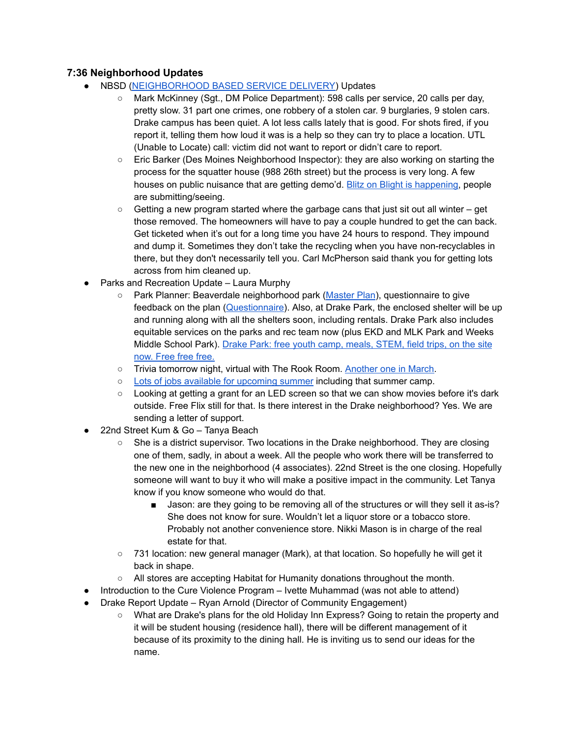## **7:36 Neighborhood Updates**

- NBSD ([NEIGHBORHOOD](https://www.dsm.city/departments/police-division/operations/neighborhood_based_service_delivery_programs.php) BASED SERVICE DELIVERY) Updates
	- Mark McKinney (Sgt., DM Police Department): 598 calls per service, 20 calls per day, pretty slow. 31 part one crimes, one robbery of a stolen car. 9 burglaries, 9 stolen cars. Drake campus has been quiet. A lot less calls lately that is good. For shots fired, if you report it, telling them how loud it was is a help so they can try to place a location. UTL (Unable to Locate) call: victim did not want to report or didn't care to report.
	- Eric Barker (Des Moines Neighborhood Inspector): they are also working on starting the process for the squatter house (988 26th street) but the process is very long. A few houses on public nuisance that are getting demo'd. Blitz on Blight is [happening,](https://experience.arcgis.com/experience/991aeb2af53343f68d73476a1f56a500) people are submitting/seeing.
	- $\circ$  Getting a new program started where the garbage cans that just sit out all winter get those removed. The homeowners will have to pay a couple hundred to get the can back. Get ticketed when it's out for a long time you have 24 hours to respond. They impound and dump it. Sometimes they don't take the recycling when you have non-recyclables in there, but they don't necessarily tell you. Carl McPherson said thank you for getting lots across from him cleaned up.
- Parks and Recreation Update Laura Murphy
	- Park Planner: Beaverdale neighborhood park [\(Master](https://www.dsm.city/business_detail_T6_R288.php) Plan), questionnaire to give feedback on the plan ([Questionnaire](https://forms.office.com/pages/responsepage.aspx?id=yvTRtZprxkGF4e2PSYpaNWbGY1WtjSxOjh0qHcV0ZExUMU1IUFhXOENLVVpPQko5VVVIMk9WTVhWOC4u)). Also, at Drake Park, the enclosed shelter will be up and running along with all the shelters soon, including rentals. Drake Park also includes equitable services on the parks and rec team now (plus EKD and MLK Park and Weeks Middle School Park). Drake Park: free youth camp, meals, [STEM,](https://www.dsm.city/departments/parks_and_recreation-division/programs/summer_camp.php) field trips, on the site [now.](https://www.dsm.city/departments/parks_and_recreation-division/programs/summer_camp.php) Free free free.
	- o Trivia tomorrow night, virtual with The Rook Room. [Another](https://www.facebook.com/events/366248152004555?ref=newsfeed) one in March.
	- Lots of jobs available for [upcoming](https://www.governmentjobs.com/careers/desmoines?department[0]=Parks&sort=PositionTitle%7CAscending) summer including that summer camp.
	- Looking at getting a grant for an LED screen so that we can show movies before it's dark outside. Free Flix still for that. Is there interest in the Drake neighborhood? Yes. We are sending a letter of support.
- 22nd Street Kum & Go Tanya Beach
	- She is a district supervisor. Two locations in the Drake neighborhood. They are closing one of them, sadly, in about a week. All the people who work there will be transferred to the new one in the neighborhood (4 associates). 22nd Street is the one closing. Hopefully someone will want to buy it who will make a positive impact in the community. Let Tanya know if you know someone who would do that.
		- Jason: are they going to be removing all of the structures or will they sell it as-is? She does not know for sure. Wouldn't let a liquor store or a tobacco store. Probably not another convenience store. Nikki Mason is in charge of the real estate for that.
	- 731 location: new general manager (Mark), at that location. So hopefully he will get it back in shape.
	- All stores are accepting Habitat for Humanity donations throughout the month.
- Introduction to the Cure Violence Program Ivette Muhammad (was not able to attend)
- Drake Report Update Ryan Arnold (Director of Community Engagement)
	- What are Drake's plans for the old Holiday Inn Express? Going to retain the property and it will be student housing (residence hall), there will be different management of it because of its proximity to the dining hall. He is inviting us to send our ideas for the name.